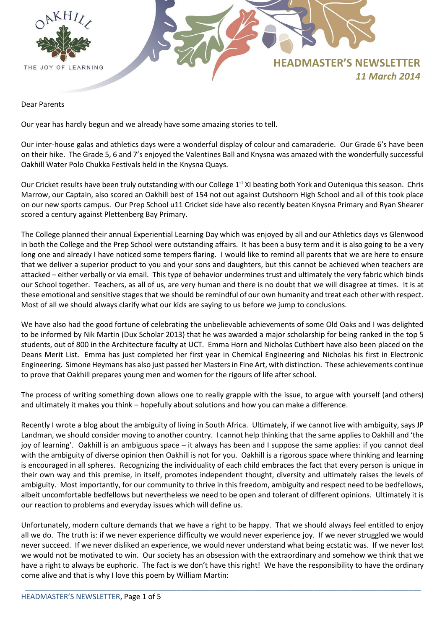

Dear Parents

Our year has hardly begun and we already have some amazing stories to tell.

Our inter-house galas and athletics days were a wonderful display of colour and camaraderie. Our Grade 6's have been on their hike. The Grade 5, 6 and 7's enjoyed the Valentines Ball and Knysna was amazed with the wonderfully successful Oakhill Water Polo Chukka Festivals held in the Knysna Quays.

Our Cricket results have been truly outstanding with our College 1<sup>st</sup> XI beating both York and Outeniqua this season. Chris Marrow, our Captain, also scored an Oakhill best of 154 not out against Outshoorn High School and all of this took place on our new sports campus. Our Prep School u11 Cricket side have also recently beaten Knysna Primary and Ryan Shearer scored a century against Plettenberg Bay Primary.

The College planned their annual Experiential Learning Day which was enjoyed by all and our Athletics days vs Glenwood in both the College and the Prep School were outstanding affairs. It has been a busy term and it is also going to be a very long one and already I have noticed some tempers flaring. I would like to remind all parents that we are here to ensure that we deliver a superior product to you and your sons and daughters, but this cannot be achieved when teachers are attacked – either verbally or via email. This type of behavior undermines trust and ultimately the very fabric which binds our School together. Teachers, as all of us, are very human and there is no doubt that we will disagree at times. It is at these emotional and sensitive stages that we should be remindful of our own humanity and treat each other with respect. Most of all we should always clarify what our kids are saying to us before we jump to conclusions.

We have also had the good fortune of celebrating the unbelievable achievements of some Old Oaks and I was delighted to be informed by Nik Martin (Dux Scholar 2013) that he was awarded a major scholarship for being ranked in the top 5 students, out of 800 in the Architecture faculty at UCT. Emma Horn and Nicholas Cuthbert have also been placed on the Deans Merit List. Emma has just completed her first year in Chemical Engineering and Nicholas his first in Electronic Engineering. Simone Heymans has also just passed her Masters in Fine Art, with distinction. These achievements continue to prove that Oakhill prepares young men and women for the rigours of life after school.

The process of writing something down allows one to really grapple with the issue, to argue with yourself (and others) and ultimately it makes you think – hopefully about solutions and how you can make a difference.

Recently I wrote a blog about the ambiguity of living in South Africa. Ultimately, if we cannot live with ambiguity, says JP Landman, we should consider moving to another country. I cannot help thinking that the same applies to Oakhill and 'the joy of learning'. Oakhill is an ambiguous space – it always has been and I suppose the same applies: if you cannot deal with the ambiguity of diverse opinion then Oakhill is not for you. Oakhill is a rigorous space where thinking and learning is encouraged in all spheres. Recognizing the individuality of each child embraces the fact that every person is unique in their own way and this premise, in itself, promotes independent thought, diversity and ultimately raises the levels of ambiguity. Most importantly, for our community to thrive in this freedom, ambiguity and respect need to be bedfellows, albeit uncomfortable bedfellows but nevertheless we need to be open and tolerant of different opinions. Ultimately it is our reaction to problems and everyday issues which will define us.

Unfortunately, modern culture demands that we have a right to be happy. That we should always feel entitled to enjoy all we do. The truth is: if we never experience difficulty we would never experience joy. If we never struggled we would never succeed. If we never disliked an experience, we would never understand what being ecstatic was. If we never lost we would not be motivated to win. Our society has an obsession with the extraordinary and somehow we think that we have a right to always be euphoric. The fact is we don't have this right! We have the responsibility to have the ordinary come alive and that is why I love this poem by William Martin: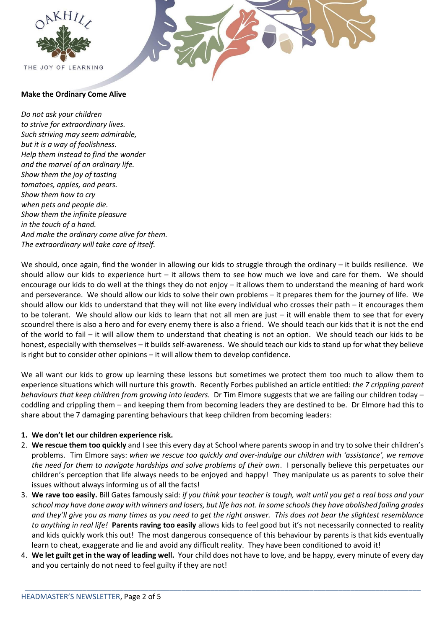



# **Make the Ordinary Come Alive**

*Do not ask your children to strive for extraordinary lives. Such striving may seem admirable, but it is a way of foolishness. Help them instead to find the wonder and the marvel of an ordinary life. Show them the joy of tasting tomatoes, apples, and pears. Show them how to cry when pets and people die. Show them the infinite pleasure in the touch of a hand. And make the ordinary come alive for them. The extraordinary will take care of itself.*

We should, once again, find the wonder in allowing our kids to struggle through the ordinary – it builds resilience. We should allow our kids to experience hurt – it allows them to see how much we love and care for them. We should encourage our kids to do well at the things they do not enjoy – it allows them to understand the meaning of hard work and perseverance. We should allow our kids to solve their own problems – it prepares them for the journey of life. We should allow our kids to understand that they will not like every individual who crosses their path – it encourages them to be tolerant. We should allow our kids to learn that not all men are just – it will enable them to see that for every scoundrel there is also a hero and for every enemy there is also a friend. We should teach our kids that it is not the end of the world to fail – it will allow them to understand that cheating is not an option. We should teach our kids to be honest, especially with themselves – it builds self-awareness. We should teach our kids to stand up for what they believe is right but to consider other opinions – it will allow them to develop confidence.

We all want our kids to grow up learning these lessons but sometimes we protect them too much to allow them to experience situations which will nurture this growth. Recently Forbes published an article entitled: *the 7 crippling parent behaviours that keep children from growing into leaders.* Dr Tim Elmore suggests that we are failing our children today – coddling and crippling them – and keeping them from becoming leaders they are destined to be. Dr Elmore had this to share about the 7 damaging parenting behaviours that keep children from becoming leaders:

# **1. We don't let our children experience risk.**

- 2. **We rescue them too quickly** and I see this every day at School where parents swoop in and try to solve their children's problems. Tim Elmore says: *when we rescue too quickly and over-indulge our children with 'assistance', we remove the need for them to navigate hardships and solve problems of their own*. I personally believe this perpetuates our children's perception that life always needs to be enjoyed and happy! They manipulate us as parents to solve their issues without always informing us of all the facts!
- 3. **We rave too easily.** Bill Gates famously said: *if you think your teacher is tough, wait until you get a real boss and your school may have done away with winners and losers, but life has not. In some schools they have abolished failing grades and they'll give you as many times as you need to get the right answer. This does not bear the slightest resemblance to anything in real life!* **Parents raving too easily** allows kids to feel good but it's not necessarily connected to reality and kids quickly work this out! The most dangerous consequence of this behaviour by parents is that kids eventually learn to cheat, exaggerate and lie and avoid any difficult reality. They have been conditioned to avoid it!
- 4. **We let guilt get in the way of leading well.** Your child does not have to love, and be happy, every minute of every day and you certainly do not need to feel guilty if they are not!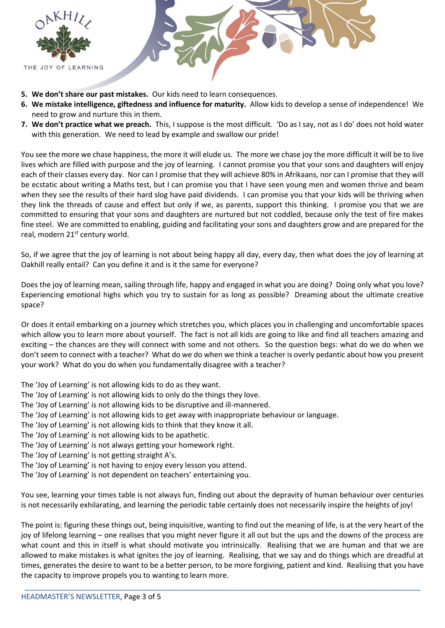

- **5. We don't share our past mistakes.** Our kids need to learn consequences.
- **6. We mistake intelligence, giftedness and influence for maturity.** Allow kids to develop a sense of independence! We need to grow and nurture this in them.
- **7. We don't practice what we preach.** This, I suppose is the most difficult. 'Do as I say, not as I do' does not hold water with this generation. We need to lead by example and swallow our pride!

You see the more we chase happiness, the more it will elude us. The more we chase joy the more difficult it will be to live lives which are filled with purpose and the joy of learning. I cannot promise you that your sons and daughters will enjoy each of their classes every day. Nor can I promise that they will achieve 80% in Afrikaans, nor can I promise that they will be ecstatic about writing a Maths test, but I can promise you that I have seen young men and women thrive and beam when they see the results of their hard slog have paid dividends. I can promise you that your kids will be thriving when they link the threads of cause and effect but only if we, as parents, support this thinking. I promise you that we are committed to ensuring that your sons and daughters are nurtured but not coddled, because only the test of fire makes fine steel. We are committed to enabling, guiding and facilitating your sons and daughters grow and are prepared for the real, modern 21<sup>st</sup> century world.

So, if we agree that the joy of learning is not about being happy all day, every day, then what does the joy of learning at Oakhill really entail? Can you define it and is it the same for everyone?

Does the joy of learning mean, sailing through life, happy and engaged in what you are doing? Doing only what you love? Experiencing emotional highs which you try to sustain for as long as possible? Dreaming about the ultimate creative space?

Or does it entail embarking on a journey which stretches you, which places you in challenging and uncomfortable spaces which allow you to learn more about yourself. The fact is not all kids are going to like and find all teachers amazing and exciting – the chances are they will connect with some and not others. So the question begs: what do we do when we don't seem to connect with a teacher? What do we do when we think a teacher is overly pedantic about how you present your work? What do you do when you fundamentally disagree with a teacher?

- The 'Joy of Learning' is not allowing kids to do as they want.
- The 'Joy of Learning' is not allowing kids to only do the things they love.
- The 'Joy of Learning' is not allowing kids to be disruptive and ill-mannered.
- The 'Joy of Learning' is not allowing kids to get away with inappropriate behaviour or language.
- The 'Joy of Learning' is not allowing kids to think that they know it all.
- The 'Joy of Learning' is not allowing kids to be apathetic.
- The 'Joy of Learning' is not always getting your homework right.
- The 'Joy of Learning' is not getting straight A's.
- The 'Joy of Learning' is not having to enjoy every lesson you attend.
- The 'Joy of Learning' is not dependent on teachers' entertaining you.

You see, learning your times table is not always fun, finding out about the depravity of human behaviour over centuries is not necessarily exhilarating, and learning the periodic table certainly does not necessarily inspire the heights of joy!

The point is: figuring these things out, being inquisitive, wanting to find out the meaning of life, is at the very heart of the joy of lifelong learning – one realises that you might never figure it all out but the ups and the downs of the process are what count and this in itself is what should motivate you intrinsically. Realising that we are human and that we are allowed to make mistakes is what ignites the joy of learning. Realising, that we say and do things which are dreadful at times, generates the desire to want to be a better person, to be more forgiving, patient and kind. Realising that you have the capacity to improve propels you to wanting to learn more.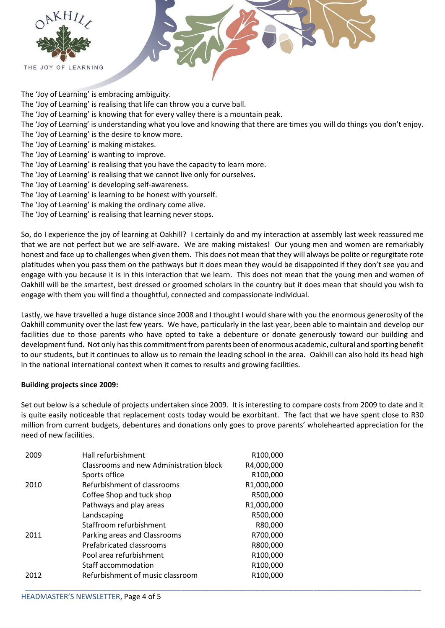

The 'Joy of Learning' is embracing ambiguity. The 'Joy of Learning' is realising that life can throw you a curve ball. The 'Joy of Learning' is knowing that for every valley there is a mountain peak. The 'Joy of Learning' is understanding what you love and knowing that there are times you will do things you don't enjoy. The 'Joy of Learning' is the desire to know more. The 'Joy of Learning' is making mistakes. The 'Joy of Learning' is wanting to improve. The 'Joy of Learning' is realising that you have the capacity to learn more. The 'Joy of Learning' is realising that we cannot live only for ourselves. The 'Joy of Learning' is developing self-awareness. The 'Joy of Learning' is learning to be honest with yourself. The 'Joy of Learning' is making the ordinary come alive. The 'Joy of Learning' is realising that learning never stops.

So, do I experience the joy of learning at Oakhill? I certainly do and my interaction at assembly last week reassured me that we are not perfect but we are self-aware. We are making mistakes! Our young men and women are remarkably honest and face up to challenges when given them. This does not mean that they will always be polite or regurgitate rote platitudes when you pass them on the pathways but it does mean they would be disappointed if they don't see you and engage with you because it is in this interaction that we learn. This does not mean that the young men and women of Oakhill will be the smartest, best dressed or groomed scholars in the country but it does mean that should you wish to engage with them you will find a thoughtful, connected and compassionate individual.

Lastly, we have travelled a huge distance since 2008 and I thought I would share with you the enormous generosity of the Oakhill community over the last few years. We have, particularly in the last year, been able to maintain and develop our facilities due to those parents who have opted to take a debenture or donate generously toward our building and development fund. Not only has this commitment from parents been of enormous academic, cultural and sporting benefit to our students, but it continues to allow us to remain the leading school in the area. Oakhill can also hold its head high in the national international context when it comes to results and growing facilities.

# **Building projects since 2009:**

Set out below is a schedule of projects undertaken since 2009. It is interesting to compare costs from 2009 to date and it is quite easily noticeable that replacement costs today would be exorbitant. The fact that we have spent close to R30 million from current budgets, debentures and donations only goes to prove parents' wholehearted appreciation for the need of new facilities.

| 2009 | Hall refurbishment                      | R100,000              |
|------|-----------------------------------------|-----------------------|
|      | Classrooms and new Administration block | R4,000,000            |
|      | Sports office                           | R100,000              |
| 2010 | Refurbishment of classrooms             | R1,000,000            |
|      | Coffee Shop and tuck shop               | R500,000              |
|      | Pathways and play areas                 | R1,000,000            |
|      | Landscaping                             | R500,000              |
|      | Staffroom refurbishment                 | R80,000               |
| 2011 | Parking areas and Classrooms            | R700,000              |
|      | Prefabricated classrooms                | R800,000              |
|      | Pool area refurbishment                 | R100,000              |
|      | Staff accommodation                     | R100,000              |
| 2012 | Refurbishment of music classroom        | R <sub>100</sub> ,000 |
|      |                                         |                       |